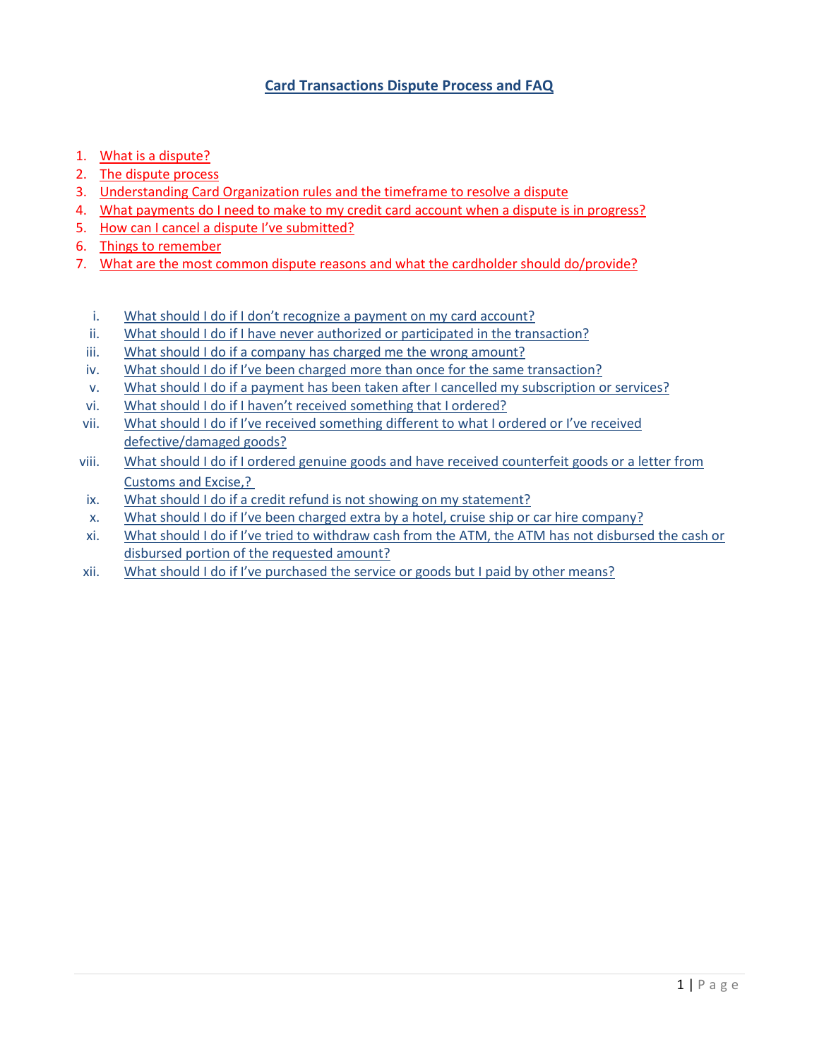# **Card Transactions Dispute Process and FAQ**

- 1. What is a dispute?
- 2. The dispute process
- 3. Understanding Card Organization rules and the timeframe to resolve a dispute
- 4. What payments do I need to make to my credit card account when a dispute is in progress?
- 5. How can I cancel a dispute I've submitted?
- 6. Things to remember
- 7. What are the most common dispute reasons and what the cardholder should do/provide?
	- i. What should I do if I don't recognize a payment on my card account?
	- ii. What should I do if I have never authorized or participated in the transaction?
	- iii. What should I do if a company has charged me the wrong amount?
	- iv. What should I do if I've been charged more than once for the same transaction?
	- v. What should I do if a payment has been taken after I cancelled my subscription or services?
	- vi. What should I do if I haven't received something that I ordered?
- vii. What should I do if I've received something different to what I ordered or I've received defective/damaged goods?
- viii. What should I do if I ordered genuine goods and have received counterfeit goods or a letter from Customs and Excise,?
- ix. What should I do if a credit refund is not showing on my statement?
- x. What should I do if I've been charged extra by a hotel, cruise ship or car hire company?
- xi. What should I do if I've tried to withdraw cash from the ATM, the ATM has not disbursed the cash or disbursed portion of the requested amount?
- xii. What should I do if I've purchased the service or goods but I paid by other means?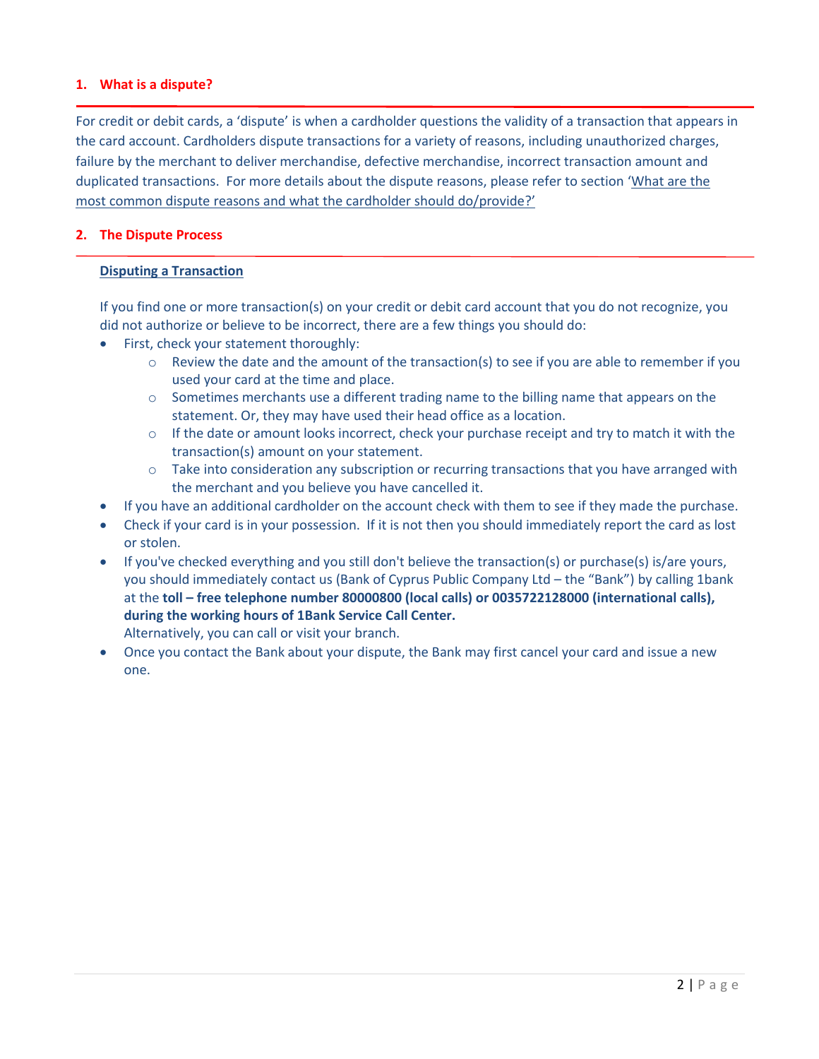## **1. What is a dispute?**

For credit or debit cards, a 'dispute' is when a cardholder questions the validity of a transaction that appears in the card account. Cardholders dispute transactions for a variety of reasons, including [unauthorized charges,](https://en.wikipedia.org/wiki/Credit_card_fraud) failure by the merchant to deliver merchandise, defective merchandise, incorrect transaction amount and duplicated transactions. For more details about the dispute reasons, please refer to section 'What are the most common dispute reasons and what the cardholder should do/provide?'

## **2. The Dispute Process**

#### **Disputing a Transaction**

If you find one or more transaction(s) on your credit or debit card account that you do not recognize, you did not authorize or believe to be incorrect, there are a few things you should do:

- First, check your statement thoroughly:
	- o Review the date and the amount of the transaction(s) to see if you are able to remember if you used your card at the time and place.
	- $\circ$  Sometimes merchants use a different trading name to the billing name that appears on the statement. Or, they may have used their head office as a location.
	- $\circ$  If the date or amount looks incorrect, check your purchase receipt and try to match it with the transaction(s) amount on your statement.
	- o Take into consideration any subscription or recurring transactions that you have arranged with the merchant and you believe you have cancelled it.
- If you have an additional cardholder on the account check with them to see if they made the purchase.
- Check if your card is in your possession. If it is not then you should immediately report the card as lost or stolen.
- If you've checked everything and you still don't believe the transaction(s) or purchase(s) is/are yours, you should immediately contact us (Bank of Cyprus Public Company Ltd – the "Bank") by calling 1bank at the **toll – free telephone number 80000800 (local calls) or 0035722128000 (international calls), during the working hours of 1Bank Service Call Center.** Alternatively, you can call or visit your branch.
- Once you contact the Bank about your dispute, the Bank may first cancel your card and issue a new one.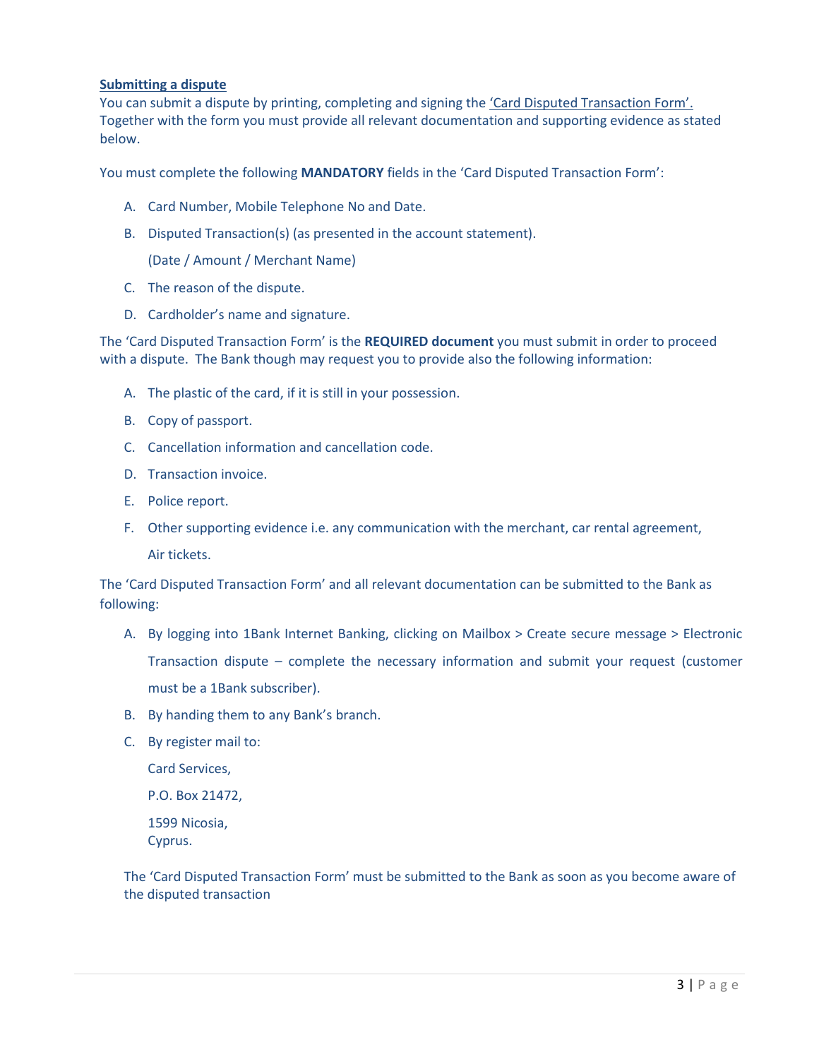#### **Submitting a dispute**

You can submit a dispute by printing, completing and signing the 'Card Disputed Transaction Form'. Together with the form you must provide all relevant documentation and supporting evidence as stated below.

You must complete the following **MANDATORY** fields in the 'Card Disputed Transaction Form':

- A. Card Number, Mobile Telephone No and Date.
- B. Disputed Transaction(s) (as presented in the account statement).

(Date / Amount / Merchant Name)

- C. The reason of the dispute.
- D. Cardholder's name and signature.

The 'Card Disputed Transaction Form' is the **REQUIRED document** you must submit in order to proceed with a dispute. The Bank though may request you to provide also the following information:

- A. The plastic of the card, if it is still in your possession.
- B. Copy of passport.
- C. Cancellation information and cancellation code.
- D. Transaction invoice.
- E. Police report.
- F. Other supporting evidence i.e. any communication with the merchant, car rental agreement, Air tickets.

The 'Card Disputed Transaction Form' and all relevant documentation can be submitted to the Bank as following:

- A. Βy logging into 1Bank Internet Banking, clicking on Mailbox > Create secure message > Electronic Transaction dispute – complete the necessary information and submit your request (customer must be a 1Bank subscriber).
- B. By handing them to any Bank's branch.
- C. By register mail to:

Card Services, P.O. Box 21472, 1599 Nicosia, Cyprus.

The 'Card Disputed Transaction Form' must be submitted to the Bank as soon as you become aware of the disputed transaction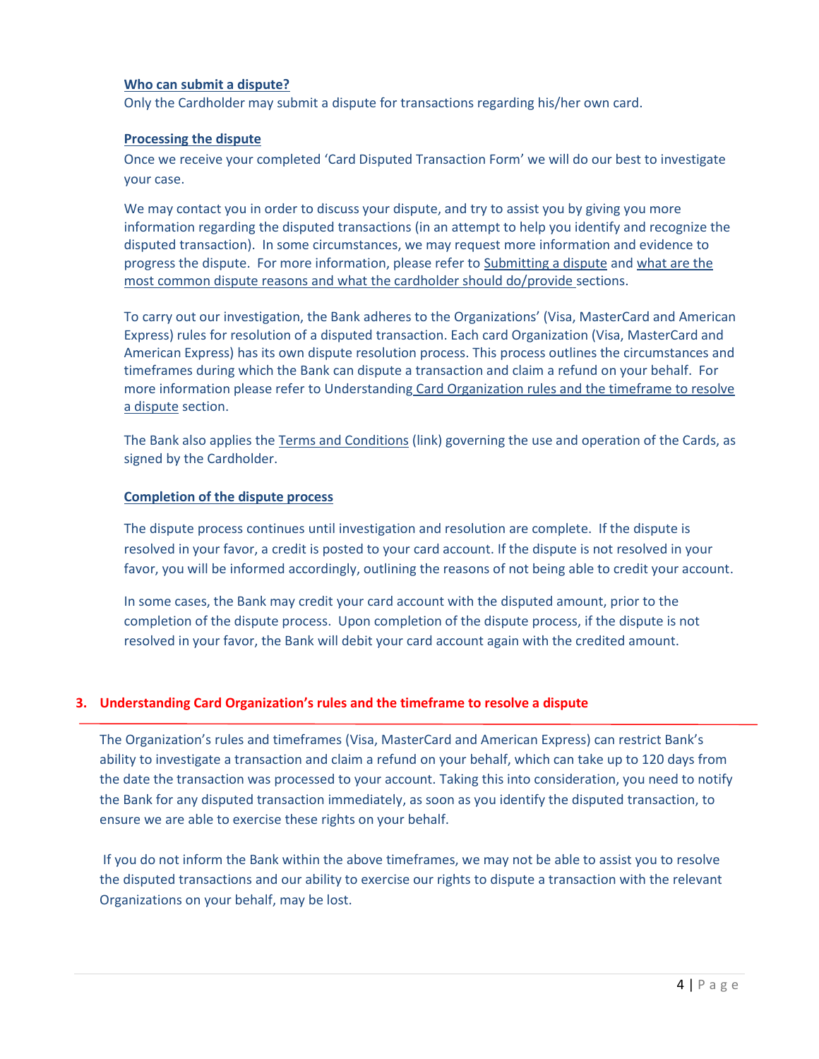## **Who can submit a dispute?**

Only the Cardholder may submit a dispute for transactions regarding his/her own card.

#### **Processing the dispute**

Once we receive your completed 'Card Disputed Transaction Form' we will do our best to investigate your case.

We may contact you in order to discuss your dispute, and try to assist you by giving you more information regarding the disputed transactions (in an attempt to help you identify and recognize the disputed transaction). In some circumstances, we may request more information and evidence to progress the dispute. For more information, please refer to Submitting a dispute and what are the most common dispute reasons and what the cardholder should do/provide sections.

To carry out our investigation, the Bank adheres to the Organizations' (Visa, MasterCard and American Express) rules for resolution of a disputed transaction. Each card Organization (Visa, MasterCard and American Express) has its own dispute resolution process. This process outlines the circumstances and timeframes during which the Bank can dispute a transaction and claim a refund on your behalf. For more information please refer to Understanding Card Organization rules and the timeframe to resolve a dispute section.

The Bank also applies the Terms and Conditions (link) governing the use and operation of the Cards, as signed by the Cardholder.

#### **Completion of the dispute process**

The dispute process continues until investigation and resolution are complete. If the dispute is resolved in your favor, a credit is posted to your card account. If the dispute is not resolved in your favor, you will be informed accordingly, outlining the reasons of not being able to credit your account.

In some cases, the Bank may credit your card account with the disputed amount, prior to the completion of the dispute process. Upon completion of the dispute process, if the dispute is not resolved in your favor, the Bank will debit your card account again with the credited amount.

## **3. Understanding Card Organization's rules and the timeframe to resolve a dispute**

The Organization's rules and timeframes (Visa, MasterCard and American Express) can restrict Bank's ability to investigate a transaction and claim a refund on your behalf, which can take up to 120 days from the date the transaction was processed to your account. Taking this into consideration, you need to notify the Bank for any disputed transaction immediately, as soon as you identify the disputed transaction, to ensure we are able to exercise these rights on your behalf.

If you do not inform the Bank within the above timeframes, we may not be able to assist you to resolve the disputed transactions and our ability to exercise our rights to dispute a transaction with the relevant Organizations on your behalf, may be lost.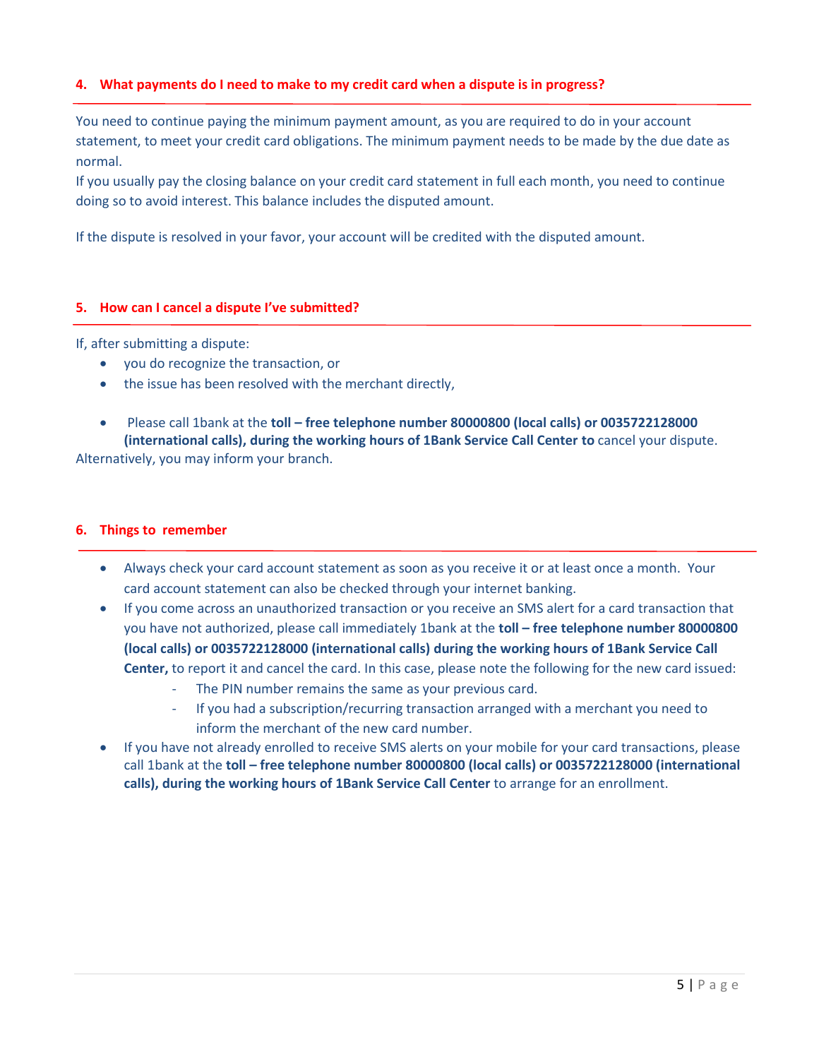# **4. What payments do I need to make to my credit card when a dispute is in progress?**

You need to continue paying the minimum payment amount, as you are required to do in your account statement, to meet your credit card obligations. The minimum payment needs to be made by the due date as normal.

If you usually pay the closing balance on your credit card statement in full each month, you need to continue doing so to avoid interest. This balance includes the disputed amount.

If the dispute is resolved in your favor, your account will be credited with the disputed amount.

#### **5. How can I cancel a dispute I've submitted?**

If, after submitting a dispute:

- you do recognize the transaction, or
- the issue has been resolved with the merchant directly,
- Please call 1bank at the **toll – free telephone number 80000800 (local calls) or 0035722128000 (international calls), during the working hours of 1Bank Service Call Center to** cancel your dispute.

Alternatively, you may inform your branch.

### **6. Things to remember**

- Always check your card account statement as soon as you receive it or at least once a month. Your card account statement can also be checked through your internet banking.
- If you come across an unauthorized transaction or you receive an SMS alert for a card transaction that you have not authorized, please call immediately 1bank at the **toll – free telephone number 80000800 (local calls) or 0035722128000 (international calls) during the working hours of 1Bank Service Call Center,** to report it and cancel the card. In this case, please note the following for the new card issued:
	- The PIN number remains the same as your previous card.
	- If you had a subscription/recurring transaction arranged with a merchant you need to inform the merchant of the new card number.
- If you have not already enrolled to receive SMS alerts on your mobile for your card transactions, please call 1bank at the **toll – free telephone number 80000800 (local calls) or 0035722128000 (international calls), during the working hours of 1Bank Service Call Center** to arrange for an enrollment.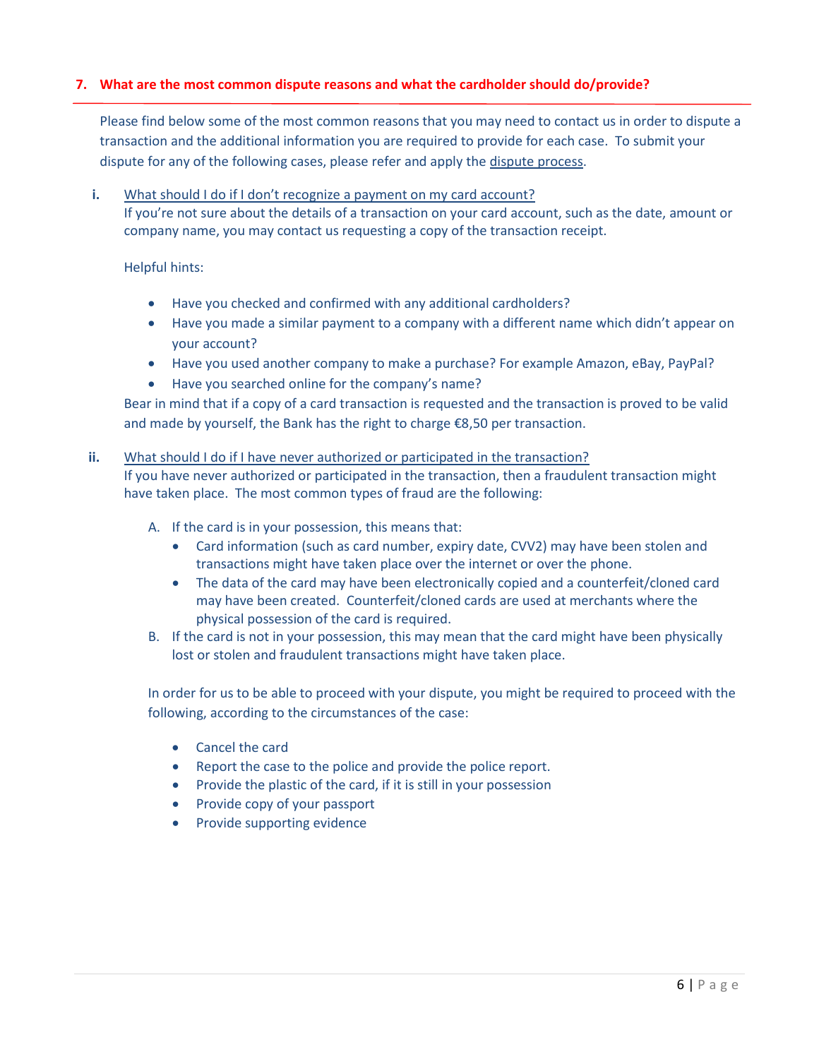# **7. What are the most common dispute reasons and what the cardholder should do/provide?**

Please find below some of the most common reasons that you may need to contact us in order to dispute a transaction and the additional information you are required to provide for each case. To submit your dispute for any of the following cases, please refer and apply the dispute process.

**i.** What should I do if I don't recognize a payment on my card account? If you're not sure about the details of a transaction on your card account, such as the date, amount or company name, you may contact us requesting a copy of the transaction receipt.

Helpful hints:

- Have you checked and confirmed with any additional cardholders?
- Have you made a similar payment to a company with a different name which didn't appear on your account?
- Have you used another company to make a purchase? For example Amazon, eBay, PayPal?
- Have you searched online for the company's name?

Bear in mind that if a copy of a card transaction is requested and the transaction is proved to be valid and made by yourself, the Bank has the right to charge €8,50 per transaction.

## **ii.** What should I do if I have never authorized or participated in the transaction?

If you have never authorized or participated in the transaction, then a fraudulent transaction might have taken place. The most common types of fraud are the following:

- A. If the card is in your possession, this means that:
	- Card information (such as card number, expiry date, CVV2) may have been stolen and transactions might have taken place over the internet or over the phone.
	- The data of the card may have been electronically copied and a counterfeit/cloned card may have been created. Counterfeit/cloned cards are used at merchants where the physical possession of the card is required.
- B. If the card is not in your possession, this may mean that the card might have been physically lost or stolen and fraudulent transactions might have taken place.

In order for us to be able to proceed with your dispute, you might be required to proceed with the following, according to the circumstances of the case:

- Cancel the card
- Report the case to the police and provide the police report.
- Provide the plastic of the card, if it is still in your possession
- Provide copy of your passport
- Provide supporting evidence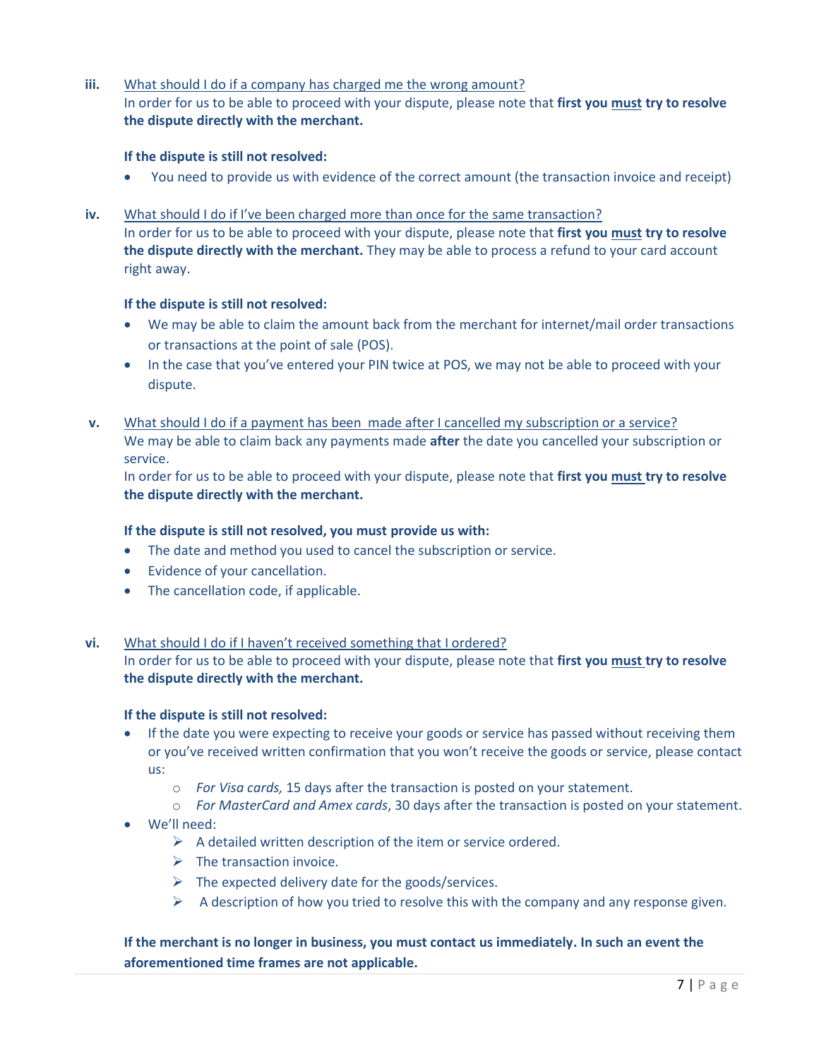**iii.** What should I do if a company has charged me the wrong amount? In order for us to be able to proceed with your dispute, please note that **first you must try to resolve the dispute directly with the merchant.** 

#### **If the dispute is still not resolved:**

- You need to provide us with evidence of the correct amount (the transaction invoice and receipt)
- **iv.** What should I do if I've been charged more than once for the same transaction? In order for us to be able to proceed with your dispute, please note that **first you must try to resolve the dispute directly with the merchant.** They may be able to process a refund to your card account right away.

#### **If the dispute is still not resolved:**

- We may be able to claim the amount back from the merchant for internet/mail order transactions or transactions at the point of sale (POS).
- In the case that you've entered your PIN twice at POS, we may not be able to proceed with your dispute.
- **v.** What should I do if a payment has been made after I cancelled my subscription or a service? We may be able to claim back any payments made **after** the date you cancelled your subscription or service.

In order for us to be able to proceed with your dispute, please note that **first you must try to resolve the dispute directly with the merchant.** 

#### **If the dispute is still not resolved, you must provide us with:**

- The date and method you used to cancel the subscription or service.
- Evidence of your cancellation.
- The cancellation code, if applicable.

## **vi.** What should I do if I haven't received something that I ordered?

In order for us to be able to proceed with your dispute, please note that **first you must try to resolve the dispute directly with the merchant.**

#### **If the dispute is still not resolved:**

- If the date you were expecting to receive your goods or service has passed without receiving them or you've received written confirmation that you won't receive the goods or service, please contact us:
	- o *For Visa cards,* 15 days after the transaction is posted on your statement.
	- o *For MasterCard and Amex cards*, 30 days after the transaction is posted on your statement.
- We'll need:
	- $\triangleright$  A detailed written description of the item or service ordered.
	- $\triangleright$  The transaction invoice.
	- $\triangleright$  The expected delivery date for the goods/services.
	- $\triangleright$  A description of how you tried to resolve this with the company and any response given.

# **If the merchant is no longer in business, you must contact us immediately. In such an event the aforementioned time frames are not applicable.**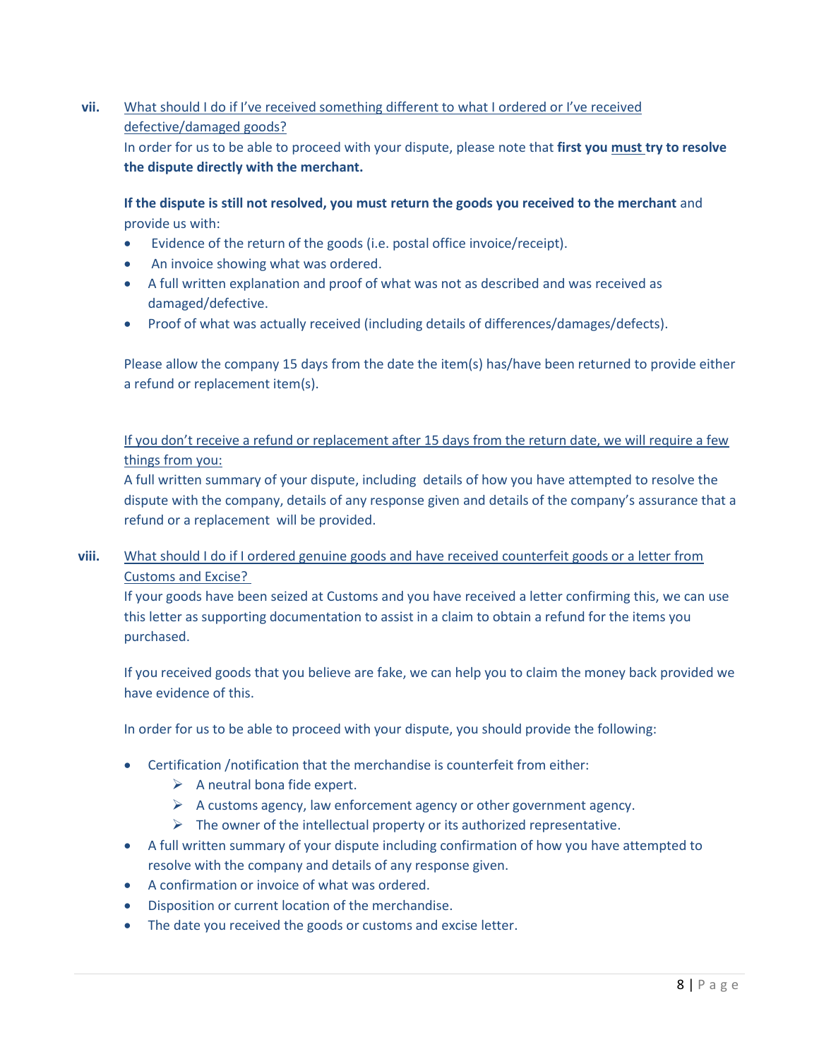# **vii.** What should I do if I've received something different to what I ordered or I've received defective/damaged goods?

In order for us to be able to proceed with your dispute, please note that **first you must try to resolve the dispute directly with the merchant.**

# **If the dispute is still not resolved, you must return the goods you received to the merchant** and provide us with:

- Evidence of the return of the goods (i.e. postal office invoice/receipt).
- An invoice showing what was ordered.
- A full written explanation and proof of what was not as described and was received as damaged/defective.
- Proof of what was actually received (including details of differences/damages/defects).

Please allow the company 15 days from the date the item(s) has/have been returned to provide either a refund or replacement item(s).

If you don't receive a refund or replacement after 15 days from the return date, we will require a few things from you:

A full written summary of your dispute, including details of how you have attempted to resolve the dispute with the company, details of any response given and details of the company's assurance that a refund or a replacement will be provided.

# **viii.** What should I do if I ordered genuine goods and have received counterfeit goods or a letter from Customs and Excise?

If your goods have been seized at Customs and you have received a letter confirming this, we can use this letter as supporting documentation to assist in a claim to obtain a refund for the items you purchased.

If you received goods that you believe are fake, we can help you to claim the money back provided we have evidence of this.

In order for us to be able to proceed with your dispute, you should provide the following:

- Certification /notification that the merchandise is counterfeit from either:
	- $\triangleright$  A neutral bona fide expert.
	- $\triangleright$  A customs agency, law enforcement agency or other government agency.
	- $\triangleright$  The owner of the intellectual property or its authorized representative.
- A full written summary of your dispute including confirmation of how you have attempted to resolve with the company and details of any response given.
- A confirmation or invoice of what was ordered.
- Disposition or current location of the merchandise.
- The date you received the goods or customs and excise letter.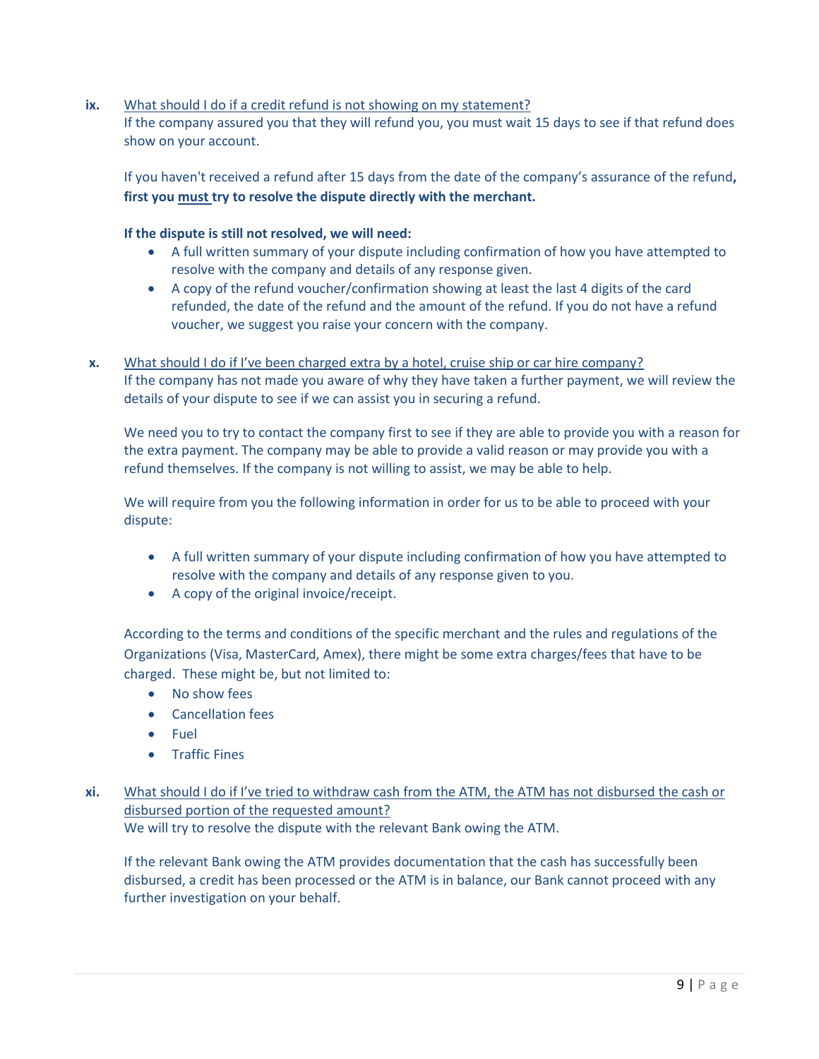**ix.** What should I do if a credit refund is not showing on my statement? If the company assured you that they will refund you, you must wait 15 days to see if that refund does show on your account.

If you haven't received a refund after 15 days from the date of the company's assurance of the refund**, first you must try to resolve the dispute directly with the merchant.**

# **If the dispute is still not resolved, we will need:**

- A full written summary of your dispute including confirmation of how you have attempted to resolve with the company and details of any response given.
- A copy of the refund voucher/confirmation showing at least the last 4 digits of the card refunded, the date of the refund and the amount of the refund. If you do not have a refund voucher, we suggest you raise your concern with the company.
- **x.** What should I do if I've been charged extra by a hotel, cruise ship or car hire company? If the company has not made you aware of why they have taken a further payment, we will review the details of your dispute to see if we can assist you in securing a refund.

We need you to try to contact the company first to see if they are able to provide you with a reason for the extra payment. The company may be able to provide a valid reason or may provide you with a refund themselves. If the company is not willing to assist, we may be able to help.

We will require from you the following information in order for us to be able to proceed with your dispute:

- A full written summary of your dispute including confirmation of how you have attempted to resolve with the company and details of any response given to you.
- A copy of the original invoice/receipt.

According to the terms and conditions of the specific merchant and the rules and regulations of the Organizations (Visa, MasterCard, Amex), there might be some extra charges/fees that have to be charged. These might be, but not limited to:

- No show fees
- **•** Cancellation fees
- Fuel
- **•** Traffic Fines
- **xi.** What should I do if I've tried to withdraw cash from the ATM, the ATM has not disbursed the cash or disbursed portion of the requested amount? We will try to resolve the dispute with the relevant Bank owing the ATM.

If the relevant Bank owing the ATM provides documentation that the cash has successfully been disbursed, a credit has been processed or the ATM is in balance, our Bank cannot proceed with any further investigation on your behalf.